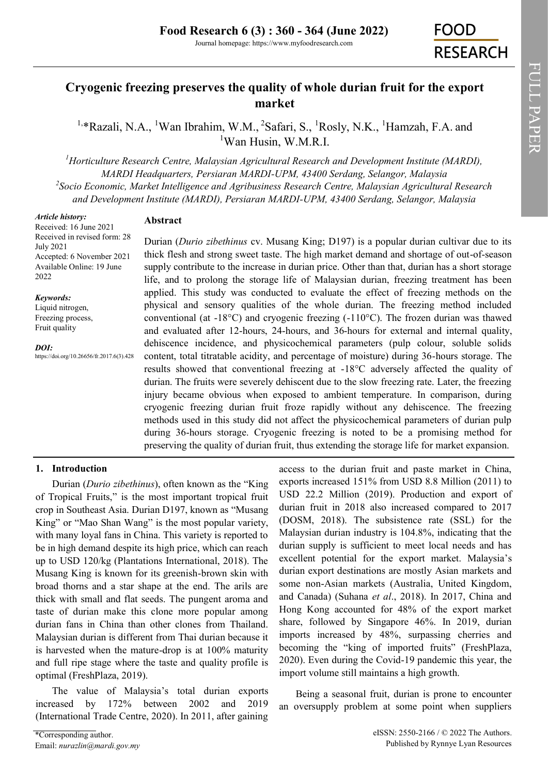# **Cryogenic freezing preserves the quality of whole durian fruit for the export market**

<sup>1,\*</sup>Razali, N.A., <sup>1</sup>Wan Ibrahim, W.M., <sup>2</sup>Safari, S., <sup>1</sup>Rosly, N.K., <sup>1</sup>Hamzah, F.A. and <sup>1</sup>Wan Husin, W.M.R.I.

*<sup>1</sup>Horticulture Research Centre, Malaysian Agricultural Research and Development Institute (MARDI), MARDI Headquarters, Persiaran MARDI-UPM, 43400 Serdang, Selangor, Malaysia 2 Socio Economic, Market Intelligence and Agribusiness Research Centre, Malaysian Agricultural Research and Development Institute (MARDI), Persiaran MARDI-UPM, 43400 Serdang, Selangor, Malaysia*

#### *Article history:*

# **Abstract**

Received: 16 June 2021 Received in revised form: 28 July 2021 Accepted: 6 November 2021 Available Online: 19 June 2022

#### *Keywords:*

Liquid nitrogen, Freezing process, Fruit quality

*DOI:* https://doi.org/10.26656/fr.2017.6(3).428

Durian (*Durio zibethinus* cv. Musang King; D197) is a popular durian cultivar due to its thick flesh and strong sweet taste. The high market demand and shortage of out-of-season supply contribute to the increase in durian price. Other than that, durian has a short storage life, and to prolong the storage life of Malaysian durian, freezing treatment has been applied. This study was conducted to evaluate the effect of freezing methods on the physical and sensory qualities of the whole durian. The freezing method included conventional (at  $-18^{\circ}$ C) and cryogenic freezing  $(-110^{\circ}$ C). The frozen durian was thawed and evaluated after 12-hours, 24-hours, and 36-hours for external and internal quality, dehiscence incidence, and physicochemical parameters (pulp colour, soluble solids content, total titratable acidity, and percentage of moisture) during 36-hours storage. The results showed that conventional freezing at -18°C adversely affected the quality of durian. The fruits were severely dehiscent due to the slow freezing rate. Later, the freezing injury became obvious when exposed to ambient temperature. In comparison, during cryogenic freezing durian fruit froze rapidly without any dehiscence. The freezing methods used in this study did not affect the physicochemical parameters of durian pulp during 36-hours storage. Cryogenic freezing is noted to be a promising method for preserving the quality of durian fruit, thus extending the storage life for market expansion.

# **1. Introduction**

Durian (*Durio zibethinus*), often known as the "King of Tropical Fruits," is the most important tropical fruit crop in Southeast Asia. Durian D197, known as "Musang King" or "Mao Shan Wang" is the most popular variety, with many loyal fans in China. This variety is reported to be in high demand despite its high price, which can reach up to USD 120/kg (Plantations International, 2018). The Musang King is known for its greenish-brown skin with broad thorns and a star shape at the end. The arils are thick with small and flat seeds. The pungent aroma and taste of durian make this clone more popular among durian fans in China than other clones from Thailand. Malaysian durian is different from Thai durian because it is harvested when the mature-drop is at 100% maturity and full ripe stage where the taste and quality profile is optimal (FreshPlaza, 2019).

The value of Malaysia's total durian exports increased by 172% between 2002 and 2019 (International Trade Centre, 2020). In 2011, after gaining

access to the durian fruit and paste market in China, exports increased 151% from USD 8.8 Million (2011) to USD 22.2 Million (2019). Production and export of durian fruit in 2018 also increased compared to 2017 (DOSM, 2018). The subsistence rate (SSL) for the Malaysian durian industry is 104.8%, indicating that the durian supply is sufficient to meet local needs and has excellent potential for the export market. Malaysia's durian export destinations are mostly Asian markets and some non-Asian markets (Australia, United Kingdom, and Canada) (Suhana *et al*., 2018). In 2017, China and Hong Kong accounted for 48% of the export market share, followed by Singapore 46%. In 2019, durian imports increased by 48%, surpassing cherries and becoming the "king of imported fruits" (FreshPlaza, 2020). Even during the Covid-19 pandemic this year, the import volume still maintains a high growth.

Being a seasonal fruit, durian is prone to encounter an oversupply problem at some point when suppliers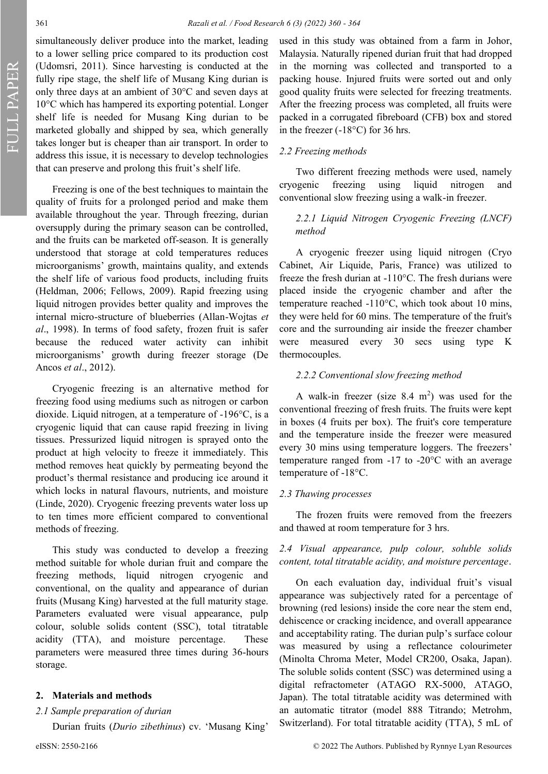simultaneously deliver produce into the market, leading to a lower selling price compared to its production cost (Udomsri, 2011). Since harvesting is conducted at the fully ripe stage, the shelf life of Musang King durian is only three days at an ambient of 30°C and seven days at 10°C which has hampered its exporting potential. Longer shelf life is needed for Musang King durian to be marketed globally and shipped by sea, which generally takes longer but is cheaper than air transport. In order to address this issue, it is necessary to develop technologies that can preserve and prolong this fruit's shelf life.

Freezing is one of the best techniques to maintain the quality of fruits for a prolonged period and make them available throughout the year. Through freezing, durian oversupply during the primary season can be controlled, and the fruits can be marketed off-season. It is generally understood that storage at cold temperatures reduces microorganisms' growth, maintains quality, and extends the shelf life of various food products, including fruits (Heldman, 2006; Fellows, 2009). Rapid freezing using liquid nitrogen provides better quality and improves the internal micro-structure of blueberries (Allan-Wojtas *et al*., 1998). In terms of food safety, frozen fruit is safer because the reduced water activity can inhibit microorganisms' growth during freezer storage (De Ancos *et al*., 2012).

Cryogenic freezing is an alternative method for freezing food using mediums such as nitrogen or carbon dioxide. Liquid nitrogen, at a temperature of -196°C, is a cryogenic liquid that can cause rapid freezing in living tissues. Pressurized liquid nitrogen is sprayed onto the product at high velocity to freeze it immediately. This method removes heat quickly by permeating beyond the product's thermal resistance and producing ice around it which locks in natural flavours, nutrients, and moisture (Linde, 2020). Cryogenic freezing prevents water loss up to ten times more efficient compared to conventional methods of freezing.

This study was conducted to develop a freezing method suitable for whole durian fruit and compare the freezing methods, liquid nitrogen cryogenic and conventional, on the quality and appearance of durian fruits (Musang King) harvested at the full maturity stage. Parameters evaluated were visual appearance, pulp colour, soluble solids content (SSC), total titratable acidity (TTA), and moisture percentage. These parameters were measured three times during 36-hours storage.

#### **2. Materials and methods**

#### *2.1 Sample preparation of durian*

Durian fruits (*Durio zibethinus*) cv. 'Musang King'

used in this study was obtained from a farm in Johor, Malaysia. Naturally ripened durian fruit that had dropped in the morning was collected and transported to a packing house. Injured fruits were sorted out and only good quality fruits were selected for freezing treatments. After the freezing process was completed, all fruits were packed in a corrugated fibreboard (CFB) box and stored in the freezer (-18°C) for 36 hrs.

## *2.2 Freezing methods*

Two different freezing methods were used, namely cryogenic freezing using liquid nitrogen and conventional slow freezing using a walk-in freezer.

## *2.2.1 Liquid Nitrogen Cryogenic Freezing (LNCF) method*

A cryogenic freezer using liquid nitrogen (Cryo Cabinet, Air Liquide, Paris, France) was utilized to freeze the fresh durian at -110°C. The fresh durians were placed inside the cryogenic chamber and after the temperature reached -110°C, which took about 10 mins, they were held for 60 mins. The temperature of the fruit's core and the surrounding air inside the freezer chamber were measured every 30 secs using type K thermocouples.

### *2.2.2 Conventional slow freezing method*

A walk-in freezer (size  $8.4 \text{ m}^2$ ) was used for the conventional freezing of fresh fruits. The fruits were kept in boxes (4 fruits per box). The fruit's core temperature and the temperature inside the freezer were measured every 30 mins using temperature loggers. The freezers' temperature ranged from -17 to -20°C with an average temperature of -18°C.

## *2.3 Thawing processes*

The frozen fruits were removed from the freezers and thawed at room temperature for 3 hrs.

## *2.4 Visual appearance, pulp colour, soluble solids content, total titratable acidity, and moisture percentage*.

On each evaluation day, individual fruit's visual appearance was subjectively rated for a percentage of browning (red lesions) inside the core near the stem end, dehiscence or cracking incidence, and overall appearance and acceptability rating. The durian pulp's surface colour was measured by using a reflectance colourimeter (Minolta Chroma Meter, Model CR200, Osaka, Japan). The soluble solids content (SSC) was determined using a digital refractometer (ATAGO RX‐5000, ATAGO, Japan). The total titratable acidity was determined with an automatic titrator (model 888 Titrando; Metrohm, Switzerland). For total titratable acidity (TTA), 5 mL of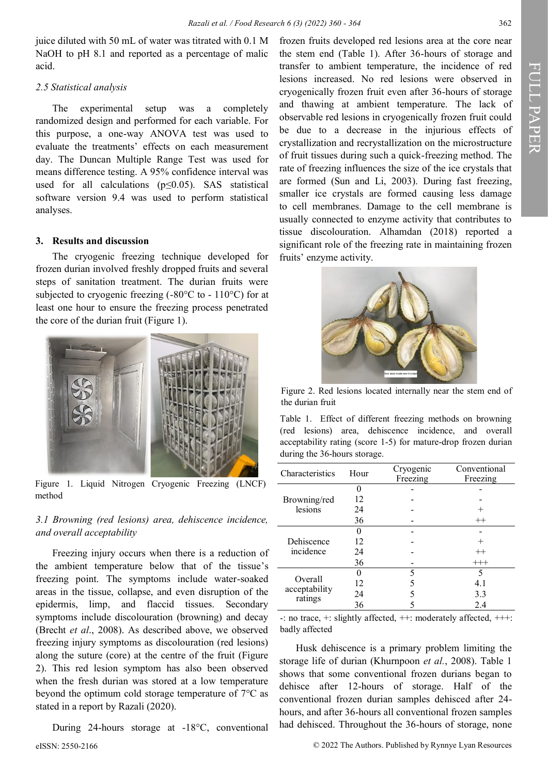juice diluted with 50 mL of water was titrated with 0.1 M NaOH to pH 8.1 and reported as a percentage of malic acid.

#### *2.5 Statistical analysis*

The experimental setup was a completely randomized design and performed for each variable. For this purpose, a one-way ANOVA test was used to evaluate the treatments' effects on each measurement day. The Duncan Multiple Range Test was used for means difference testing. A 95% confidence interval was used for all calculations ( $p \le 0.05$ ). SAS statistical software version 9.4 was used to perform statistical analyses.

## **3. Results and discussion**

The cryogenic freezing technique developed for frozen durian involved freshly dropped fruits and several steps of sanitation treatment. The durian fruits were subjected to cryogenic freezing (-80°C to - 110°C) for at least one hour to ensure the freezing process penetrated the core of the durian fruit (Figure 1).



Figure 1. Liquid Nitrogen Cryogenic Freezing (LNCF) method

## *3.1 Browning (red lesions) area, dehiscence incidence, and overall acceptability*

Freezing injury occurs when there is a reduction of the ambient temperature below that of the tissue's freezing point. The symptoms include water-soaked areas in the tissue, collapse, and even disruption of the epidermis, limp, and flaccid tissues. Secondary symptoms include discolouration (browning) and decay (Brecht *et al*., 2008). As described above, we observed freezing injury symptoms as discolouration (red lesions) along the suture (core) at the centre of the fruit (Figure 2). This red lesion symptom has also been observed when the fresh durian was stored at a low temperature beyond the optimum cold storage temperature of 7°C as stated in a report by Razali (2020).

eISSN: 2550-2166 © 2022 The Authors. Published by Rynnye Lyan Resources During 24-hours storage at -18°C, conventional

frozen fruits developed red lesions area at the core near the stem end (Table 1). After 36-hours of storage and transfer to ambient temperature, the incidence of red lesions increased. No red lesions were observed in cryogenically frozen fruit even after 36-hours of storage and thawing at ambient temperature. The lack of observable red lesions in cryogenically frozen fruit could be due to a decrease in the injurious effects of crystallization and recrystallization on the microstructure of fruit tissues during such a quick-freezing method. The rate of freezing influences the size of the ice crystals that are formed (Sun and Li, 2003). During fast freezing, smaller ice crystals are formed causing less damage to [cell membranes.](about:blank) Damage to the cell membrane is usually connected to enzyme activity that contributes to tissue discolouration. Alhamdan (2018) reported a significant role of the freezing rate in maintaining frozen fruits' enzyme activity.



Figure 2. Red lesions located internally near the stem end of the durian fruit

Table 1. Effect of different freezing methods on browning (red lesions) area, dehiscence incidence, and overall acceptability rating (score 1-5) for mature-drop frozen durian during the 36-hours storage.

| Characteristics                     | Hour | Cryogenic<br>Freezing | Conventional<br>Freezing |  |
|-------------------------------------|------|-----------------------|--------------------------|--|
|                                     |      |                       |                          |  |
| Browning/red<br>lesions             | 12   |                       |                          |  |
|                                     | 24   |                       |                          |  |
|                                     | 36   |                       | $^{++}$                  |  |
| Dehiscence<br>incidence             |      |                       |                          |  |
|                                     | 12   |                       |                          |  |
|                                     | 24   |                       | $^{++}$                  |  |
|                                     | 36   |                       | $^{+++}$                 |  |
| Overall<br>acceptability<br>ratings |      | 5                     | 5                        |  |
|                                     | 12   |                       | 4.1                      |  |
|                                     | 24   |                       | 3.3                      |  |
|                                     | 36   |                       | 2.4                      |  |

-: no trace, +: slightly affected, ++: moderately affected, +++: badly affected

Husk dehiscence is a primary problem limiting the storage life of durian (Khurnpoon *et al.*, 2008). Table 1 shows that some conventional frozen durians began to dehisce after 12-hours of storage. Half of the conventional frozen durian samples dehisced after 24 hours, and after 36-hours all conventional frozen samples had dehisced. Throughout the 36-hours of storage, none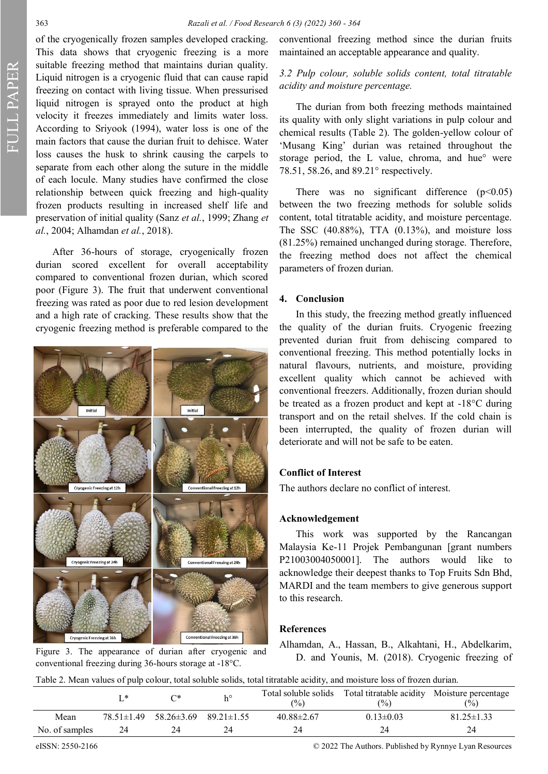of the cryogenically frozen samples developed cracking. This data shows that cryogenic freezing is a more suitable freezing method that maintains durian quality. Liquid nitrogen is a cryogenic fluid that can cause rapid freezing on contact with living tissue. When pressurised liquid nitrogen is sprayed onto the product at high velocity it freezes immediately and limits water loss. According to Sriyook (1994), water loss is one of the main factors that cause the durian fruit to dehisce. Water loss causes the husk to shrink causing the carpels to separate from each other along the suture in the middle of each locule. Many studies have confirmed the close relationship between quick freezing and high-quality frozen products resulting in increased shelf life and preservation of initial quality (Sanz *et al.*, 1999; Zhang *et al.*, 2004; Alhamdan *et al.*, 2018).

After 36-hours of storage, cryogenically frozen durian scored excellent for overall acceptability compared to conventional frozen durian, which scored poor (Figure 3). The fruit that underwent conventional freezing was rated as poor due to red lesion development and a high rate of cracking. These results show that the cryogenic freezing method is preferable compared to the



conventional freezing during 36-hours storage at -18°C.

conventional freezing method since the durian fruits maintained an acceptable appearance and quality.

# *3.2 Pulp colour, soluble solids content, total titratable acidity and moisture percentage.*

The durian from both freezing methods maintained its quality with only slight variations in pulp colour and chemical results (Table 2). The golden‐yellow colour of 'Musang King' durian was retained throughout the storage period, the L value, chroma, and hue° were 78.51, 58.26, and 89.21° respectively.

There was no significant difference  $(p<0.05)$ between the two freezing methods for soluble solids content, total titratable acidity, and moisture percentage. The SSC (40.88%), TTA (0.13%), and moisture loss (81.25%) remained unchanged during storage. Therefore, the freezing method does not affect the chemical parameters of frozen durian.

#### **4. Conclusion**

In this study, the freezing method greatly influenced the quality of the durian fruits. Cryogenic freezing prevented durian fruit from dehiscing compared to conventional freezing. This method potentially locks in natural flavours, nutrients, and moisture, providing excellent quality which cannot be achieved with conventional freezers. Additionally, frozen durian should be treated as a frozen product and kept at -18°C during transport and on the retail shelves. If the cold chain is been interrupted, the quality of frozen durian will deteriorate and will not be safe to be eaten.

## **Conflict of Interest**

The authors declare no conflict of interest.

#### **Acknowledgement**

This work was supported by the Rancangan Malaysia Ke-11 Projek Pembangunan [grant numbers P21003004050001]. The authors would like to acknowledge their deepest thanks to Top Fruits Sdn Bhd, MARDI and the team members to give generous support to this research.

## **References**

Alhamdan, A., Hassan, B., Alkahtani, H., Abdelkarim, Figure 3. The appearance of durian after cryogenic and The Theorem B. M. (2018). Cryogenic freezing of

Table 2. Mean values of pulp colour, total soluble solids, total titratable acidity, and moisture loss of frozen durian.

|                | *                | ∩*         | $h^{\circ}$      | Total soluble solids<br>(9/0) | Total titratable acidity Moisture percentage<br>$\frac{(0)}{0}$ | $\frac{1}{2}$    |
|----------------|------------------|------------|------------------|-------------------------------|-----------------------------------------------------------------|------------------|
| Mean           | $78.51 \pm 1.49$ | 58.26±3.69 | $89.21 \pm 1.55$ | $40.88 \pm 2.67$              | $0.13 \pm 0.03$                                                 | $81.25 \pm 1.33$ |
| No. of samples | 24               |            | 24               | 24                            |                                                                 | 24               |

eISSN: 2550-2166 © 2022 The Authors. Published by Rynnye Lyan Resources